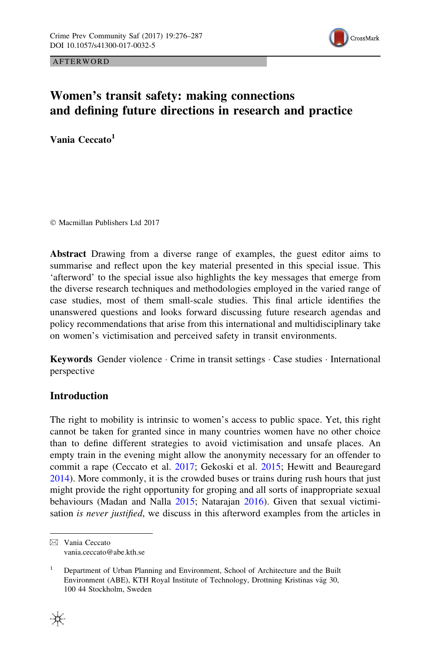

**AFTERWORD** 

# Women's transit safety: making connections and defining future directions in research and practice

Vania Ceccato<sup>1</sup>

- Macmillan Publishers Ltd 2017

Abstract Drawing from a diverse range of examples, the guest editor aims to summarise and reflect upon the key material presented in this special issue. This 'afterword' to the special issue also highlights the key messages that emerge from the diverse research techniques and methodologies employed in the varied range of case studies, most of them small-scale studies. This final article identifies the unanswered questions and looks forward discussing future research agendas and policy recommendations that arise from this international and multidisciplinary take on women's victimisation and perceived safety in transit environments.

Keywords Gender violence · Crime in transit settings · Case studies · International perspective

# Introduction

The right to mobility is intrinsic to women's access to public space. Yet, this right cannot be taken for granted since in many countries women have no other choice than to define different strategies to avoid victimisation and unsafe places. An empty train in the evening might allow the anonymity necessary for an offender to commit a rape (Ceccato et al. [2017](#page-11-0); Gekoski et al. [2015](#page-11-0); Hewitt and Beauregard [2014\)](#page-11-0). More commonly, it is the crowded buses or trains during rush hours that just might provide the right opportunity for groping and all sorts of inappropriate sexual behaviours (Madan and Nalla [2015;](#page-11-0) Natarajan [2016\)](#page-11-0). Given that sexual victimisation *is never justified*, we discuss in this afterword examples from the articles in

& Vania Ceccato vania.ceccato@abe.kth.se

<sup>1</sup> Department of Urban Planning and Environment, School of Architecture and the Built Environment (ABE), KTH Royal Institute of Technology, Drottning Kristinas väg 30, 100 44 Stockholm, Sweden

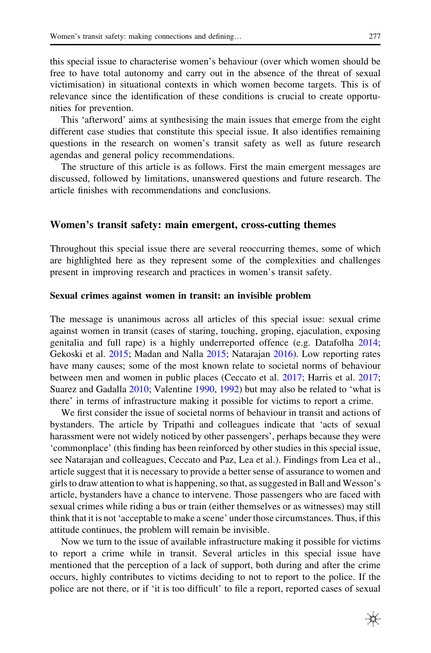this special issue to characterise women's behaviour (over which women should be free to have total autonomy and carry out in the absence of the threat of sexual victimisation) in situational contexts in which women become targets. This is of relevance since the identification of these conditions is crucial to create opportunities for prevention.

This 'afterword' aims at synthesising the main issues that emerge from the eight different case studies that constitute this special issue. It also identifies remaining questions in the research on women's transit safety as well as future research agendas and general policy recommendations.

The structure of this article is as follows. First the main emergent messages are discussed, followed by limitations, unanswered questions and future research. The article finishes with recommendations and conclusions.

# Women's transit safety: main emergent, cross-cutting themes

Throughout this special issue there are several reoccurring themes, some of which are highlighted here as they represent some of the complexities and challenges present in improving research and practices in women's transit safety.

#### Sexual crimes against women in transit: an invisible problem

The message is unanimous across all articles of this special issue: sexual crime against women in transit (cases of staring, touching, groping, ejaculation, exposing genitalia and full rape) is a highly underreported offence (e.g. Datafolha [2014;](#page-11-0) Gekoski et al. [2015](#page-11-0); Madan and Nalla [2015;](#page-11-0) Natarajan [2016\)](#page-11-0). Low reporting rates have many causes; some of the most known relate to societal norms of behaviour between men and women in public places (Ceccato et al. [2017](#page-11-0); Harris et al. [2017;](#page-11-0) Suarez and Gadalla [2010;](#page-11-0) Valentine [1990,](#page-11-0) [1992\)](#page-11-0) but may also be related to 'what is there' in terms of infrastructure making it possible for victims to report a crime.

We first consider the issue of societal norms of behaviour in transit and actions of bystanders. The article by Tripathi and colleagues indicate that 'acts of sexual harassment were not widely noticed by other passengers', perhaps because they were 'commonplace' (this finding has been reinforced by other studies in this special issue, see Natarajan and colleagues, Ceccato and Paz, Lea et al.). Findings from Lea et al., article suggest that it is necessary to provide a better sense of assurance to women and girls to draw attention to what is happening, so that, as suggested in Ball and Wesson's article, bystanders have a chance to intervene. Those passengers who are faced with sexual crimes while riding a bus or train (either themselves or as witnesses) may still think that it is not 'acceptable to make a scene' under those circumstances. Thus, if this attitude continues, the problem will remain be invisible.

Now we turn to the issue of available infrastructure making it possible for victims to report a crime while in transit. Several articles in this special issue have mentioned that the perception of a lack of support, both during and after the crime occurs, highly contributes to victims deciding to not to report to the police. If the police are not there, or if 'it is too difficult' to file a report, reported cases of sexual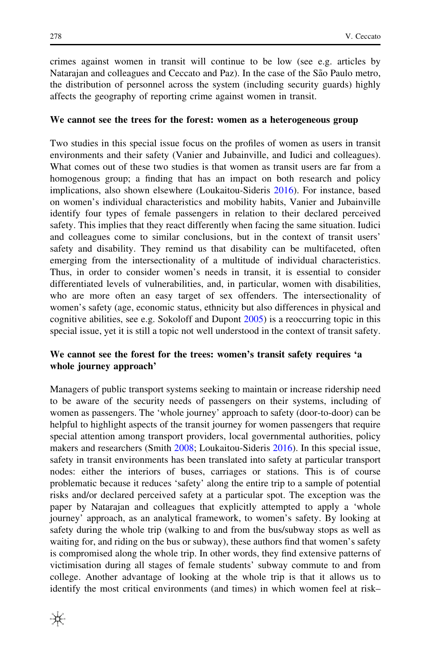crimes against women in transit will continue to be low (see e.g. articles by Natarajan and colleagues and Ceccato and Paz). In the case of the São Paulo metro, the distribution of personnel across the system (including security guards) highly affects the geography of reporting crime against women in transit.

#### We cannot see the trees for the forest: women as a heterogeneous group

Two studies in this special issue focus on the profiles of women as users in transit environments and their safety (Vanier and Jubainville, and Iudici and colleagues). What comes out of these two studies is that women as transit users are far from a homogenous group; a finding that has an impact on both research and policy implications, also shown elsewhere (Loukaitou-Sideris [2016](#page-11-0)). For instance, based on women's individual characteristics and mobility habits, Vanier and Jubainville identify four types of female passengers in relation to their declared perceived safety. This implies that they react differently when facing the same situation. Iudici and colleagues come to similar conclusions, but in the context of transit users' safety and disability. They remind us that disability can be multifaceted, often emerging from the intersectionality of a multitude of individual characteristics. Thus, in order to consider women's needs in transit, it is essential to consider differentiated levels of vulnerabilities, and, in particular, women with disabilities, who are more often an easy target of sex offenders. The intersectionality of women's safety (age, economic status, ethnicity but also differences in physical and cognitive abilities, see e.g. Sokoloff and Dupont [2005\)](#page-11-0) is a reoccurring topic in this special issue, yet it is still a topic not well understood in the context of transit safety.

# We cannot see the forest for the trees: women's transit safety requires 'a whole journey approach'

Managers of public transport systems seeking to maintain or increase ridership need to be aware of the security needs of passengers on their systems, including of women as passengers. The 'whole journey' approach to safety (door-to-door) can be helpful to highlight aspects of the transit journey for women passengers that require special attention among transport providers, local governmental authorities, policy makers and researchers (Smith [2008;](#page-11-0) Loukaitou-Sideris [2016](#page-11-0)). In this special issue, safety in transit environments has been translated into safety at particular transport nodes: either the interiors of buses, carriages or stations. This is of course problematic because it reduces 'safety' along the entire trip to a sample of potential risks and/or declared perceived safety at a particular spot. The exception was the paper by Natarajan and colleagues that explicitly attempted to apply a 'whole journey' approach, as an analytical framework, to women's safety. By looking at safety during the whole trip (walking to and from the bus/subway stops as well as waiting for, and riding on the bus or subway), these authors find that women's safety is compromised along the whole trip. In other words, they find extensive patterns of victimisation during all stages of female students' subway commute to and from college. Another advantage of looking at the whole trip is that it allows us to identify the most critical environments (and times) in which women feel at risk–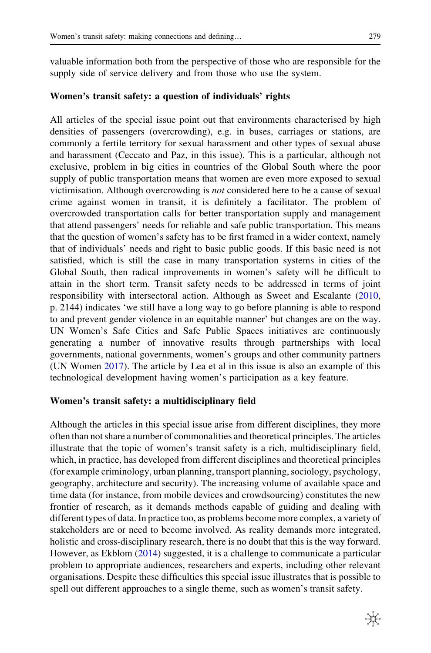valuable information both from the perspective of those who are responsible for the supply side of service delivery and from those who use the system.

### Women's transit safety: a question of individuals' rights

All articles of the special issue point out that environments characterised by high densities of passengers (overcrowding), e.g. in buses, carriages or stations, are commonly a fertile territory for sexual harassment and other types of sexual abuse and harassment (Ceccato and Paz, in this issue). This is a particular, although not exclusive, problem in big cities in countries of the Global South where the poor supply of public transportation means that women are even more exposed to sexual victimisation. Although overcrowding is not considered here to be a cause of sexual crime against women in transit, it is definitely a facilitator. The problem of overcrowded transportation calls for better transportation supply and management that attend passengers' needs for reliable and safe public transportation. This means that the question of women's safety has to be first framed in a wider context, namely that of individuals' needs and right to basic public goods. If this basic need is not satisfied, which is still the case in many transportation systems in cities of the Global South, then radical improvements in women's safety will be difficult to attain in the short term. Transit safety needs to be addressed in terms of joint responsibility with intersectoral action. Although as Sweet and Escalante ([2010,](#page-11-0) p. 2144) indicates 'we still have a long way to go before planning is able to respond to and prevent gender violence in an equitable manner' but changes are on the way. UN Women's Safe Cities and Safe Public Spaces initiatives are continuously generating a number of innovative results through partnerships with local governments, national governments, women's groups and other community partners (UN Women [2017](#page-11-0)). The article by Lea et al in this issue is also an example of this technological development having women's participation as a key feature.

#### Women's transit safety: a multidisciplinary field

Although the articles in this special issue arise from different disciplines, they more often than not share a number of commonalities and theoretical principles. The articles illustrate that the topic of women's transit safety is a rich, multidisciplinary field, which, in practice, has developed from different disciplines and theoretical principles (for example criminology, urban planning, transport planning, sociology, psychology, geography, architecture and security). The increasing volume of available space and time data (for instance, from mobile devices and crowdsourcing) constitutes the new frontier of research, as it demands methods capable of guiding and dealing with different types of data. In practice too, as problems become more complex, a variety of stakeholders are or need to become involved. As reality demands more integrated, holistic and cross-disciplinary research, there is no doubt that this is the way forward. However, as Ekblom ([2014\)](#page-11-0) suggested, it is a challenge to communicate a particular problem to appropriate audiences, researchers and experts, including other relevant organisations. Despite these difficulties this special issue illustrates that is possible to spell out different approaches to a single theme, such as women's transit safety.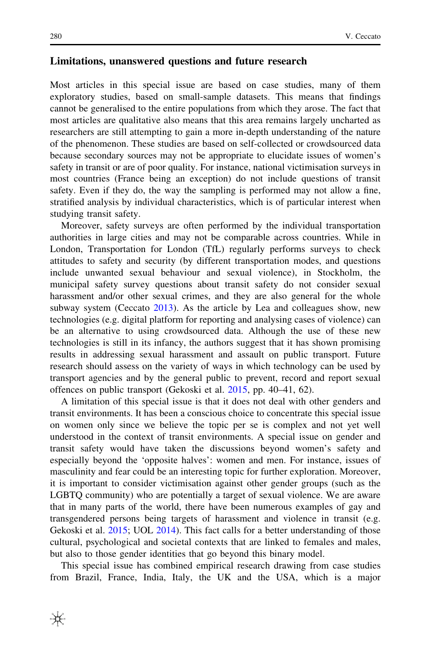#### Limitations, unanswered questions and future research

Most articles in this special issue are based on case studies, many of them exploratory studies, based on small-sample datasets. This means that findings cannot be generalised to the entire populations from which they arose. The fact that most articles are qualitative also means that this area remains largely uncharted as researchers are still attempting to gain a more in-depth understanding of the nature of the phenomenon. These studies are based on self-collected or crowdsourced data because secondary sources may not be appropriate to elucidate issues of women's safety in transit or are of poor quality. For instance, national victimisation surveys in most countries (France being an exception) do not include questions of transit safety. Even if they do, the way the sampling is performed may not allow a fine, stratified analysis by individual characteristics, which is of particular interest when studying transit safety.

Moreover, safety surveys are often performed by the individual transportation authorities in large cities and may not be comparable across countries. While in London, Transportation for London (TfL) regularly performs surveys to check attitudes to safety and security (by different transportation modes, and questions include unwanted sexual behaviour and sexual violence), in Stockholm, the municipal safety survey questions about transit safety do not consider sexual harassment and/or other sexual crimes, and they are also general for the whole subway system (Ceccato [2013\)](#page-11-0). As the article by Lea and colleagues show, new technologies (e.g. digital platform for reporting and analysing cases of violence) can be an alternative to using crowdsourced data. Although the use of these new technologies is still in its infancy, the authors suggest that it has shown promising results in addressing sexual harassment and assault on public transport. Future research should assess on the variety of ways in which technology can be used by transport agencies and by the general public to prevent, record and report sexual offences on public transport (Gekoski et al. [2015](#page-11-0), pp. 40–41, 62).

A limitation of this special issue is that it does not deal with other genders and transit environments. It has been a conscious choice to concentrate this special issue on women only since we believe the topic per se is complex and not yet well understood in the context of transit environments. A special issue on gender and transit safety would have taken the discussions beyond women's safety and especially beyond the 'opposite halves': women and men. For instance, issues of masculinity and fear could be an interesting topic for further exploration. Moreover, it is important to consider victimisation against other gender groups (such as the LGBTQ community) who are potentially a target of sexual violence. We are aware that in many parts of the world, there have been numerous examples of gay and transgendered persons being targets of harassment and violence in transit (e.g. Gekoski et al. [2015](#page-11-0); UOL [2014](#page-11-0)). This fact calls for a better understanding of those cultural, psychological and societal contexts that are linked to females and males, but also to those gender identities that go beyond this binary model.

This special issue has combined empirical research drawing from case studies from Brazil, France, India, Italy, the UK and the USA, which is a major

₩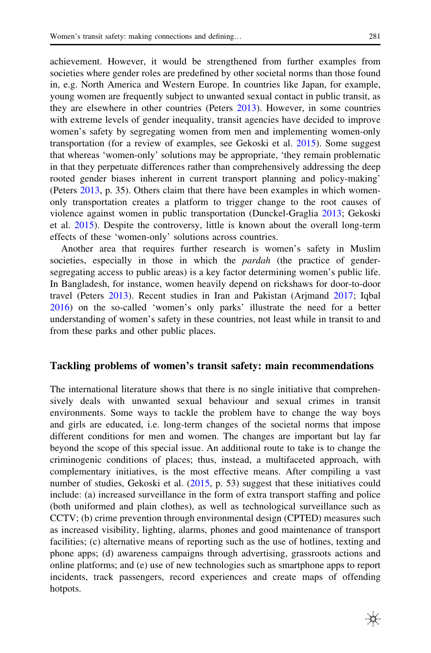achievement. However, it would be strengthened from further examples from societies where gender roles are predefined by other societal norms than those found in, e.g. North America and Western Europe. In countries like Japan, for example, young women are frequently subject to unwanted sexual contact in public transit, as they are elsewhere in other countries (Peters [2013\)](#page-11-0). However, in some countries with extreme levels of gender inequality, transit agencies have decided to improve women's safety by segregating women from men and implementing women-only transportation (for a review of examples, see Gekoski et al. [2015](#page-11-0)). Some suggest that whereas 'women-only' solutions may be appropriate, 'they remain problematic in that they perpetuate differences rather than comprehensively addressing the deep rooted gender biases inherent in current transport planning and policy-making' (Peters [2013,](#page-11-0) p. 35). Others claim that there have been examples in which womenonly transportation creates a platform to trigger change to the root causes of violence against women in public transportation (Dunckel-Graglia [2013](#page-11-0); Gekoski et al. [2015\)](#page-11-0). Despite the controversy, little is known about the overall long-term effects of these 'women-only' solutions across countries.

Another area that requires further research is women's safety in Muslim societies, especially in those in which the *pardah* (the practice of gendersegregating access to public areas) is a key factor determining women's public life. In Bangladesh, for instance, women heavily depend on rickshaws for door-to-door travel (Peters [2013\)](#page-11-0). Recent studies in Iran and Pakistan (Arjmand [2017](#page-11-0); Iqbal [2016\)](#page-11-0) on the so-called 'women's only parks' illustrate the need for a better understanding of women's safety in these countries, not least while in transit to and from these parks and other public places.

#### Tackling problems of women's transit safety: main recommendations

The international literature shows that there is no single initiative that comprehensively deals with unwanted sexual behaviour and sexual crimes in transit environments. Some ways to tackle the problem have to change the way boys and girls are educated, i.e. long-term changes of the societal norms that impose different conditions for men and women. The changes are important but lay far beyond the scope of this special issue. An additional route to take is to change the criminogenic conditions of places; thus, instead, a multifaceted approach, with complementary initiatives, is the most effective means. After compiling a vast number of studies, Gekoski et al. [\(2015](#page-11-0), p. 53) suggest that these initiatives could include: (a) increased surveillance in the form of extra transport staffing and police (both uniformed and plain clothes), as well as technological surveillance such as CCTV; (b) crime prevention through environmental design (CPTED) measures such as increased visibility, lighting, alarms, phones and good maintenance of transport facilities; (c) alternative means of reporting such as the use of hotlines, texting and phone apps; (d) awareness campaigns through advertising, grassroots actions and online platforms; and (e) use of new technologies such as smartphone apps to report incidents, track passengers, record experiences and create maps of offending hotpots.

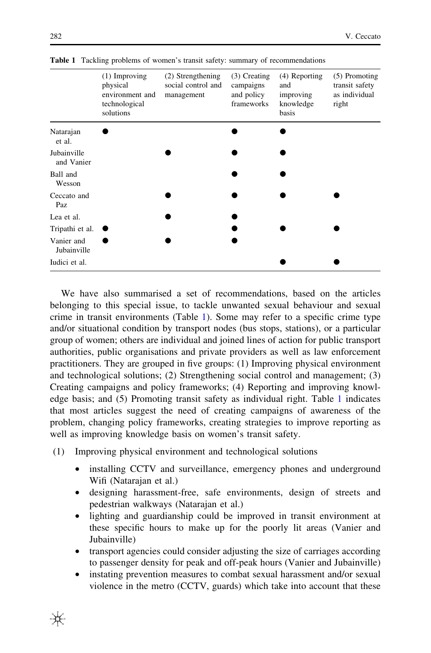|                           | (1) Improving<br>physical<br>environment and<br>technological<br>solutions | (2) Strengthening<br>social control and<br>management | $(3)$ Creating<br>campaigns<br>and policy<br>frameworks | $(4)$ Reporting<br>and<br>improving<br>knowledge<br>basis | (5) Promoting<br>transit safety<br>as individual<br>right |
|---------------------------|----------------------------------------------------------------------------|-------------------------------------------------------|---------------------------------------------------------|-----------------------------------------------------------|-----------------------------------------------------------|
| Natarajan<br>et al.       |                                                                            |                                                       |                                                         |                                                           |                                                           |
| Jubainville<br>and Vanier |                                                                            |                                                       |                                                         |                                                           |                                                           |
| Ball and<br>Wesson        |                                                                            |                                                       |                                                         |                                                           |                                                           |
| Ceccato and<br>Paz        |                                                                            |                                                       |                                                         |                                                           |                                                           |
| Lea et al.                |                                                                            |                                                       |                                                         |                                                           |                                                           |
| Tripathi et al.           |                                                                            |                                                       |                                                         |                                                           |                                                           |
| Vanier and<br>Jubainville |                                                                            |                                                       |                                                         |                                                           |                                                           |
| Iudici et al.             |                                                                            |                                                       |                                                         |                                                           |                                                           |

Table 1 Tackling problems of women's transit safety: summary of recommendations

We have also summarised a set of recommendations, based on the articles belonging to this special issue, to tackle unwanted sexual behaviour and sexual crime in transit environments (Table 1). Some may refer to a specific crime type and/or situational condition by transport nodes (bus stops, stations), or a particular group of women; others are individual and joined lines of action for public transport authorities, public organisations and private providers as well as law enforcement practitioners. They are grouped in five groups: (1) Improving physical environment and technological solutions; (2) Strengthening social control and management; (3) Creating campaigns and policy frameworks; (4) Reporting and improving knowledge basis; and (5) Promoting transit safety as individual right. Table 1 indicates that most articles suggest the need of creating campaigns of awareness of the problem, changing policy frameworks, creating strategies to improve reporting as well as improving knowledge basis on women's transit safety.

- (1) Improving physical environment and technological solutions
	- installing CCTV and surveillance, emergency phones and underground Wifi (Natarajan et al.)
	- designing harassment-free, safe environments, design of streets and pedestrian walkways (Natarajan et al.)
	- lighting and guardianship could be improved in transit environment at these specific hours to make up for the poorly lit areas (Vanier and Jubainville)
	- transport agencies could consider adjusting the size of carriages according to passenger density for peak and off-peak hours (Vanier and Jubainville)
	- instating prevention measures to combat sexual harassment and/or sexual violence in the metro (CCTV, guards) which take into account that these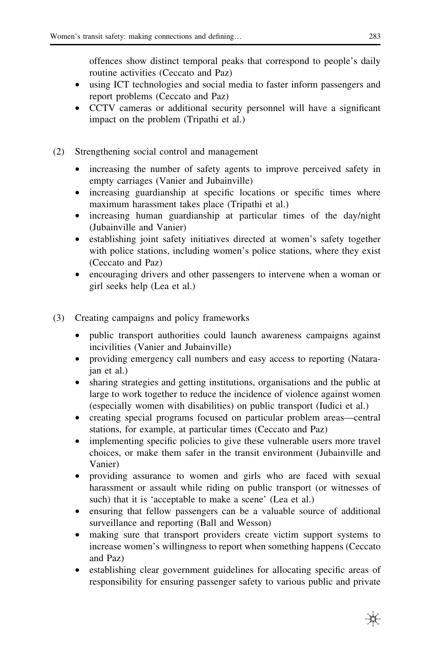offences show distinct temporal peaks that correspond to people's daily routine activities (Ceccato and Paz)

- using ICT technologies and social media to faster inform passengers and report problems (Ceccato and Paz)
- CCTV cameras or additional security personnel will have a significant impact on the problem (Tripathi et al.)
- (2) Strengthening social control and management
	- increasing the number of safety agents to improve perceived safety in empty carriages (Vanier and Jubainville)
	- increasing guardianship at specific locations or specific times where maximum harassment takes place (Tripathi et al.)
	- increasing human guardianship at particular times of the day/night (Jubainville and Vanier)
	- establishing joint safety initiatives directed at women's safety together with police stations, including women's police stations, where they exist (Ceccato and Paz)
	- encouraging drivers and other passengers to intervene when a woman or girl seeks help (Lea et al.)
- (3) Creating campaigns and policy frameworks
	- public transport authorities could launch awareness campaigns against incivilities (Vanier and Jubainville)
	- providing emergency call numbers and easy access to reporting (Natarajan et al.)
	- sharing strategies and getting institutions, organisations and the public at large to work together to reduce the incidence of violence against women (especially women with disabilities) on public transport (Iudici et al.)
	- creating special programs focused on particular problem areas—central stations, for example, at particular times (Ceccato and Paz)
	- implementing specific policies to give these vulnerable users more travel choices, or make them safer in the transit environment (Jubainville and Vanier)
	- providing assurance to women and girls who are faced with sexual harassment or assault while riding on public transport (or witnesses of such) that it is 'acceptable to make a scene' (Lea et al.)
	- ensuring that fellow passengers can be a valuable source of additional surveillance and reporting (Ball and Wesson)
	- making sure that transport providers create victim support systems to increase women's willingness to report when something happens (Ceccato and Paz)
	- establishing clear government guidelines for allocating specific areas of responsibility for ensuring passenger safety to various public and private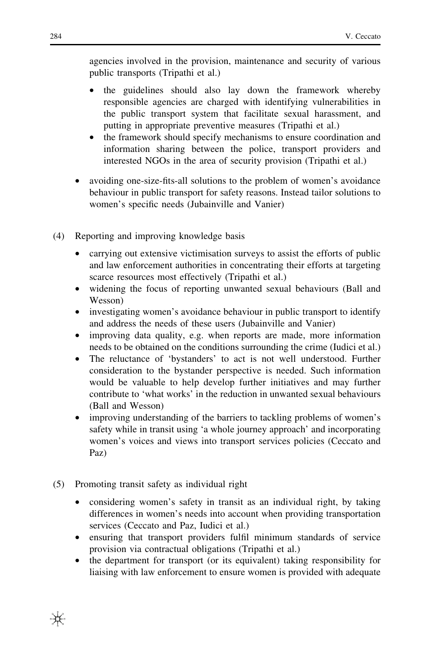agencies involved in the provision, maintenance and security of various public transports (Tripathi et al.)

- the guidelines should also lay down the framework whereby responsible agencies are charged with identifying vulnerabilities in the public transport system that facilitate sexual harassment, and putting in appropriate preventive measures (Tripathi et al.)
- the framework should specify mechanisms to ensure coordination and information sharing between the police, transport providers and interested NGOs in the area of security provision (Tripathi et al.)
- avoiding one-size-fits-all solutions to the problem of women's avoidance behaviour in public transport for safety reasons. Instead tailor solutions to women's specific needs (Jubainville and Vanier)
- (4) Reporting and improving knowledge basis
	- carrying out extensive victimisation surveys to assist the efforts of public and law enforcement authorities in concentrating their efforts at targeting scarce resources most effectively (Tripathi et al.)
	- widening the focus of reporting unwanted sexual behaviours (Ball and Wesson)
	- investigating women's avoidance behaviour in public transport to identify and address the needs of these users (Jubainville and Vanier)
	- improving data quality, e.g. when reports are made, more information needs to be obtained on the conditions surrounding the crime (Iudici et al.)
	- The reluctance of 'bystanders' to act is not well understood. Further consideration to the bystander perspective is needed. Such information would be valuable to help develop further initiatives and may further contribute to 'what works' in the reduction in unwanted sexual behaviours (Ball and Wesson)
	- improving understanding of the barriers to tackling problems of women's safety while in transit using 'a whole journey approach' and incorporating women's voices and views into transport services policies (Ceccato and Paz)
- (5) Promoting transit safety as individual right
	- considering women's safety in transit as an individual right, by taking differences in women's needs into account when providing transportation services (Ceccato and Paz, Iudici et al.)
	- ensuring that transport providers fulfil minimum standards of service provision via contractual obligations (Tripathi et al.)
	- the department for transport (or its equivalent) taking responsibility for liaising with law enforcement to ensure women is provided with adequate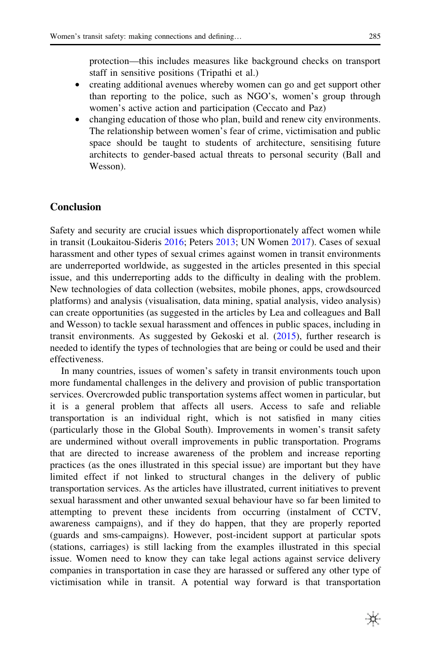protection—this includes measures like background checks on transport staff in sensitive positions (Tripathi et al.)

- creating additional avenues whereby women can go and get support other than reporting to the police, such as NGO's, women's group through women's active action and participation (Ceccato and Paz)
- changing education of those who plan, build and renew city environments. The relationship between women's fear of crime, victimisation and public space should be taught to students of architecture, sensitising future architects to gender-based actual threats to personal security (Ball and Wesson).

# **Conclusion**

Safety and security are crucial issues which disproportionately affect women while in transit (Loukaitou-Sideris [2016;](#page-11-0) Peters [2013](#page-11-0); UN Women [2017](#page-11-0)). Cases of sexual harassment and other types of sexual crimes against women in transit environments are underreported worldwide, as suggested in the articles presented in this special issue, and this underreporting adds to the difficulty in dealing with the problem. New technologies of data collection (websites, mobile phones, apps, crowdsourced platforms) and analysis (visualisation, data mining, spatial analysis, video analysis) can create opportunities (as suggested in the articles by Lea and colleagues and Ball and Wesson) to tackle sexual harassment and offences in public spaces, including in transit environments. As suggested by Gekoski et al. [\(2015](#page-11-0)), further research is needed to identify the types of technologies that are being or could be used and their effectiveness.

In many countries, issues of women's safety in transit environments touch upon more fundamental challenges in the delivery and provision of public transportation services. Overcrowded public transportation systems affect women in particular, but it is a general problem that affects all users. Access to safe and reliable transportation is an individual right, which is not satisfied in many cities (particularly those in the Global South). Improvements in women's transit safety are undermined without overall improvements in public transportation. Programs that are directed to increase awareness of the problem and increase reporting practices (as the ones illustrated in this special issue) are important but they have limited effect if not linked to structural changes in the delivery of public transportation services. As the articles have illustrated, current initiatives to prevent sexual harassment and other unwanted sexual behaviour have so far been limited to attempting to prevent these incidents from occurring (instalment of CCTV, awareness campaigns), and if they do happen, that they are properly reported (guards and sms-campaigns). However, post-incident support at particular spots (stations, carriages) is still lacking from the examples illustrated in this special issue. Women need to know they can take legal actions against service delivery companies in transportation in case they are harassed or suffered any other type of victimisation while in transit. A potential way forward is that transportation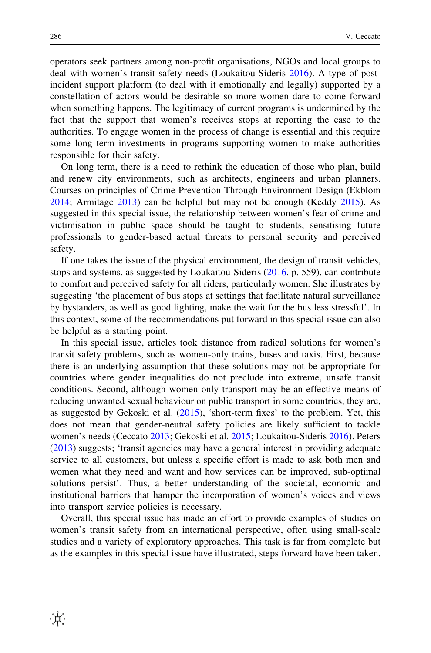operators seek partners among non-profit organisations, NGOs and local groups to deal with women's transit safety needs (Loukaitou-Sideris [2016](#page-11-0)). A type of postincident support platform (to deal with it emotionally and legally) supported by a constellation of actors would be desirable so more women dare to come forward when something happens. The legitimacy of current programs is undermined by the fact that the support that women's receives stops at reporting the case to the authorities. To engage women in the process of change is essential and this require some long term investments in programs supporting women to make authorities responsible for their safety.

On long term, there is a need to rethink the education of those who plan, build and renew city environments, such as architects, engineers and urban planners. Courses on principles of Crime Prevention Through Environment Design (Ekblom [2014;](#page-11-0) Armitage [2013\)](#page-11-0) can be helpful but may not be enough (Keddy [2015](#page-11-0)). As suggested in this special issue, the relationship between women's fear of crime and victimisation in public space should be taught to students, sensitising future professionals to gender-based actual threats to personal security and perceived safety.

If one takes the issue of the physical environment, the design of transit vehicles, stops and systems, as suggested by Loukaitou-Sideris [\(2016](#page-11-0), p. 559), can contribute to comfort and perceived safety for all riders, particularly women. She illustrates by suggesting 'the placement of bus stops at settings that facilitate natural surveillance by bystanders, as well as good lighting, make the wait for the bus less stressful'. In this context, some of the recommendations put forward in this special issue can also be helpful as a starting point.

In this special issue, articles took distance from radical solutions for women's transit safety problems, such as women-only trains, buses and taxis. First, because there is an underlying assumption that these solutions may not be appropriate for countries where gender inequalities do not preclude into extreme, unsafe transit conditions. Second, although women-only transport may be an effective means of reducing unwanted sexual behaviour on public transport in some countries, they are, as suggested by Gekoski et al. [\(2015](#page-11-0)), 'short-term fixes' to the problem. Yet, this does not mean that gender-neutral safety policies are likely sufficient to tackle women's needs (Ceccato [2013](#page-11-0); Gekoski et al. [2015;](#page-11-0) Loukaitou-Sideris [2016\)](#page-11-0). Peters [\(2013](#page-11-0)) suggests; 'transit agencies may have a general interest in providing adequate service to all customers, but unless a specific effort is made to ask both men and women what they need and want and how services can be improved, sub-optimal solutions persist'. Thus, a better understanding of the societal, economic and institutional barriers that hamper the incorporation of women's voices and views into transport service policies is necessary.

Overall, this special issue has made an effort to provide examples of studies on women's transit safety from an international perspective, often using small-scale studies and a variety of exploratory approaches. This task is far from complete but as the examples in this special issue have illustrated, steps forward have been taken.

₩